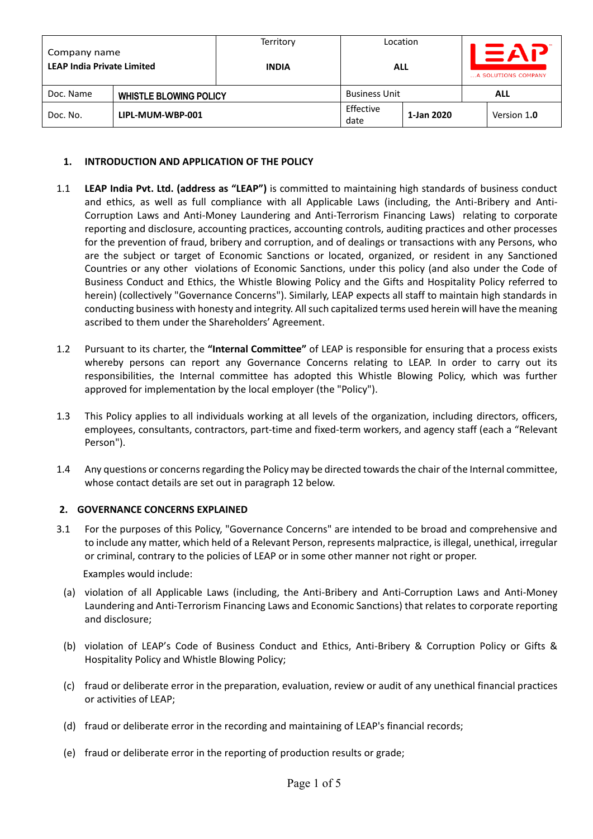| Company name<br><b>LEAP India Private Limited</b> |  | Territory<br><b>INDIA</b> | Location<br><b>ALL</b> |            | EAP<br>A SOLUTIONS COMPANY |             |
|---------------------------------------------------|--|---------------------------|------------------------|------------|----------------------------|-------------|
| Doc. Name<br><b>WHISTLE BLOWING POLICY</b>        |  |                           | <b>Business Unit</b>   |            |                            | <b>ALL</b>  |
| LIPL-MUM-WBP-001<br>Doc. No.                      |  |                           | Effective<br>date      | 1-Jan 2020 |                            | Version 1.0 |

#### **1. INTRODUCTION AND APPLICATION OF THE POLICY**

- 1.1 **LEAP India Pvt. Ltd. (address as "LEAP")** is committed to maintaining high standards of business conduct and ethics, as well as full compliance with all Applicable Laws (including, the Anti-Bribery and Anti-Corruption Laws and Anti-Money Laundering and Anti-Terrorism Financing Laws) relating to corporate reporting and disclosure, accounting practices, accounting controls, auditing practices and other processes for the prevention of fraud, bribery and corruption, and of dealings or transactions with any Persons, who are the subject or target of Economic Sanctions or located, organized, or resident in any Sanctioned Countries or any other violations of Economic Sanctions, under this policy (and also under the Code of Business Conduct and Ethics, the Whistle Blowing Policy and the Gifts and Hospitality Policy referred to herein) (collectively "Governance Concerns"). Similarly, LEAP expects all staff to maintain high standards in conducting business with honesty and integrity. All such capitalized terms used herein will have the meaning ascribed to them under the Shareholders' Agreement.
- 1.2 Pursuant to its charter, the **"Internal Committee"** of LEAP is responsible for ensuring that a process exists whereby persons can report any Governance Concerns relating to LEAP. In order to carry out its responsibilities, the Internal committee has adopted this Whistle Blowing Policy, which was further approved for implementation by the local employer (the "Policy").
- 1.3 This Policy applies to all individuals working at all levels of the organization, including directors, officers, employees, consultants, contractors, part-time and fixed-term workers, and agency staff (each a "Relevant Person").
- 1.4 Any questions or concerns regarding the Policy may be directed towards the chair of the Internal committee, whose contact details are set out in paragraph 12 below.

#### **2. GOVERNANCE CONCERNS EXPLAINED**

3.1 For the purposes of this Policy, "Governance Concerns" are intended to be broad and comprehensive and to include any matter, which held of a Relevant Person, represents malpractice, is illegal, unethical, irregular or criminal, contrary to the policies of LEAP or in some other manner not right or proper.

Examples would include:

- (a) violation of all Applicable Laws (including, the Anti-Bribery and Anti-Corruption Laws and Anti-Money Laundering and Anti-Terrorism Financing Laws and Economic Sanctions) that relates to corporate reporting and disclosure;
- (b) violation of LEAP's Code of Business Conduct and Ethics, Anti-Bribery & Corruption Policy or Gifts & Hospitality Policy and Whistle Blowing Policy;
- (c) fraud or deliberate error in the preparation, evaluation, review or audit of any unethical financial practices or activities of LEAP;
- (d) fraud or deliberate error in the recording and maintaining of LEAP's financial records;
- (e) fraud or deliberate error in the reporting of production results or grade;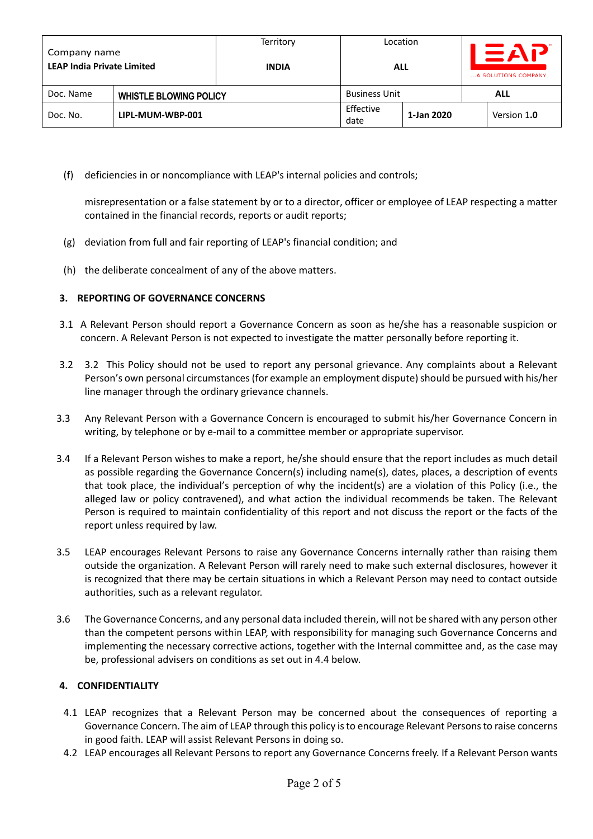| Company name<br><b>LEAP India Private Limited</b> |  | Territory<br><b>INDIA</b> | Location<br><b>ALL</b> |            | $=$ $AP$<br>A SOLUTIONS COMPANY |             |
|---------------------------------------------------|--|---------------------------|------------------------|------------|---------------------------------|-------------|
| Doc. Name<br><b>WHISTLE BLOWING POLICY</b>        |  |                           | <b>Business Unit</b>   |            |                                 | ALL         |
| LIPL-MUM-WBP-001<br>Doc. No.                      |  |                           | Effective<br>date      | 1-Jan 2020 |                                 | Version 1.0 |

(f) deficiencies in or noncompliance with LEAP's internal policies and controls;

misrepresentation or a false statement by or to a director, officer or employee of LEAP respecting a matter contained in the financial records, reports or audit reports;

- (g) deviation from full and fair reporting of LEAP's financial condition; and
- (h) the deliberate concealment of any of the above matters.

### **3. REPORTING OF GOVERNANCE CONCERNS**

- 3.1 A Relevant Person should report a Governance Concern as soon as he/she has a reasonable suspicion or concern. A Relevant Person is not expected to investigate the matter personally before reporting it.
- 3.2 3.2 This Policy should not be used to report any personal grievance. Any complaints about a Relevant Person's own personal circumstances (for example an employment dispute) should be pursued with his/her line manager through the ordinary grievance channels.
- 3.3 Any Relevant Person with a Governance Concern is encouraged to submit his/her Governance Concern in writing, by telephone or by e-mail to a committee member or appropriate supervisor.
- 3.4 If a Relevant Person wishes to make a report, he/she should ensure that the report includes as much detail as possible regarding the Governance Concern(s) including name(s), dates, places, a description of events that took place, the individual's perception of why the incident(s) are a violation of this Policy (i.e., the alleged law or policy contravened), and what action the individual recommends be taken. The Relevant Person is required to maintain confidentiality of this report and not discuss the report or the facts of the report unless required by law.
- 3.5 LEAP encourages Relevant Persons to raise any Governance Concerns internally rather than raising them outside the organization. A Relevant Person will rarely need to make such external disclosures, however it is recognized that there may be certain situations in which a Relevant Person may need to contact outside authorities, such as a relevant regulator.
- 3.6 The Governance Concerns, and any personal data included therein, will not be shared with any person other than the competent persons within LEAP, with responsibility for managing such Governance Concerns and implementing the necessary corrective actions, together with the Internal committee and, as the case may be, professional advisers on conditions as set out in 4.4 below.

### **4. CONFIDENTIALITY**

- 4.1 LEAP recognizes that a Relevant Person may be concerned about the consequences of reporting a Governance Concern. The aim of LEAP through this policy is to encourage Relevant Persons to raise concerns in good faith. LEAP will assist Relevant Persons in doing so.
- 4.2 LEAP encourages all Relevant Persons to report any Governance Concerns freely. If a Relevant Person wants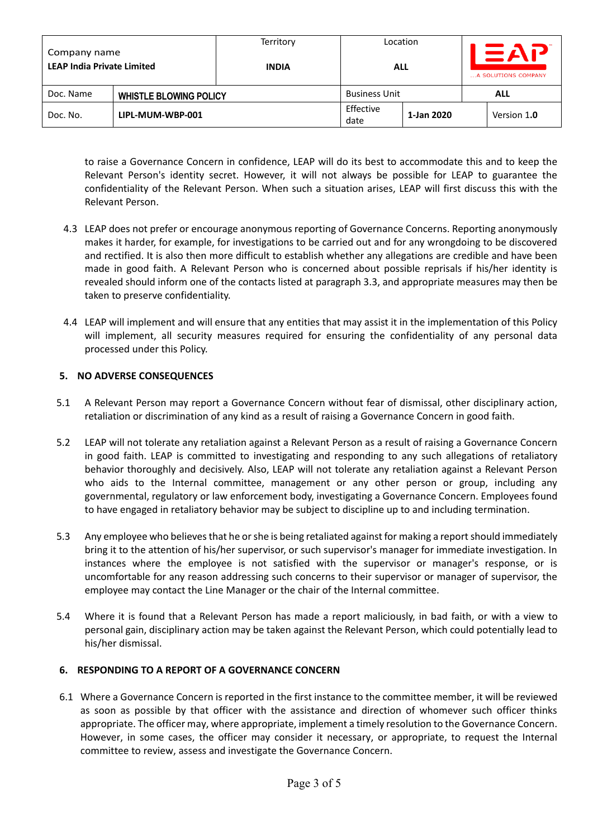| Company name<br><b>LEAP India Private Limited</b> |  | Territory<br><b>INDIA</b> | Location<br><b>ALL</b> |            | $\equiv$ AP<br>A SOLUTIONS COMPANY |             |
|---------------------------------------------------|--|---------------------------|------------------------|------------|------------------------------------|-------------|
| Doc. Name<br><b>WHISTLE BLOWING POLICY</b>        |  |                           | <b>Business Unit</b>   |            |                                    | ALL         |
| LIPL-MUM-WBP-001<br>Doc. No.                      |  |                           | Effective<br>date      | 1-Jan 2020 |                                    | Version 1.0 |

to raise a Governance Concern in confidence, LEAP will do its best to accommodate this and to keep the Relevant Person's identity secret. However, it will not always be possible for LEAP to guarantee the confidentiality of the Relevant Person. When such a situation arises, LEAP will first discuss this with the Relevant Person.

- 4.3 LEAP does not prefer or encourage anonymous reporting of Governance Concerns. Reporting anonymously makes it harder, for example, for investigations to be carried out and for any wrongdoing to be discovered and rectified. It is also then more difficult to establish whether any allegations are credible and have been made in good faith. A Relevant Person who is concerned about possible reprisals if his/her identity is revealed should inform one of the contacts listed at paragraph 3.3, and appropriate measures may then be taken to preserve confidentiality.
- 4.4 LEAP will implement and will ensure that any entities that may assist it in the implementation of this Policy will implement, all security measures required for ensuring the confidentiality of any personal data processed under this Policy.

# **5. NO ADVERSE CONSEQUENCES**

- 5.1 A Relevant Person may report a Governance Concern without fear of dismissal, other disciplinary action, retaliation or discrimination of any kind as a result of raising a Governance Concern in good faith.
- 5.2 LEAP will not tolerate any retaliation against a Relevant Person as a result of raising a Governance Concern in good faith. LEAP is committed to investigating and responding to any such allegations of retaliatory behavior thoroughly and decisively. Also, LEAP will not tolerate any retaliation against a Relevant Person who aids to the Internal committee, management or any other person or group, including any governmental, regulatory or law enforcement body, investigating a Governance Concern. Employees found to have engaged in retaliatory behavior may be subject to discipline up to and including termination.
- 5.3 Any employee who believes that he or she is being retaliated against for making a reportshould immediately bring it to the attention of his/her supervisor, or such supervisor's manager for immediate investigation. In instances where the employee is not satisfied with the supervisor or manager's response, or is uncomfortable for any reason addressing such concerns to their supervisor or manager of supervisor, the employee may contact the Line Manager or the chair of the Internal committee.
- 5.4 Where it is found that a Relevant Person has made a report maliciously, in bad faith, or with a view to personal gain, disciplinary action may be taken against the Relevant Person, which could potentially lead to his/her dismissal.

### **6. RESPONDING TO A REPORT OF A GOVERNANCE CONCERN**

6.1 Where a Governance Concern is reported in the first instance to the committee member, it will be reviewed as soon as possible by that officer with the assistance and direction of whomever such officer thinks appropriate. The officer may, where appropriate, implement a timely resolution to the Governance Concern. However, in some cases, the officer may consider it necessary, or appropriate, to request the Internal committee to review, assess and investigate the Governance Concern.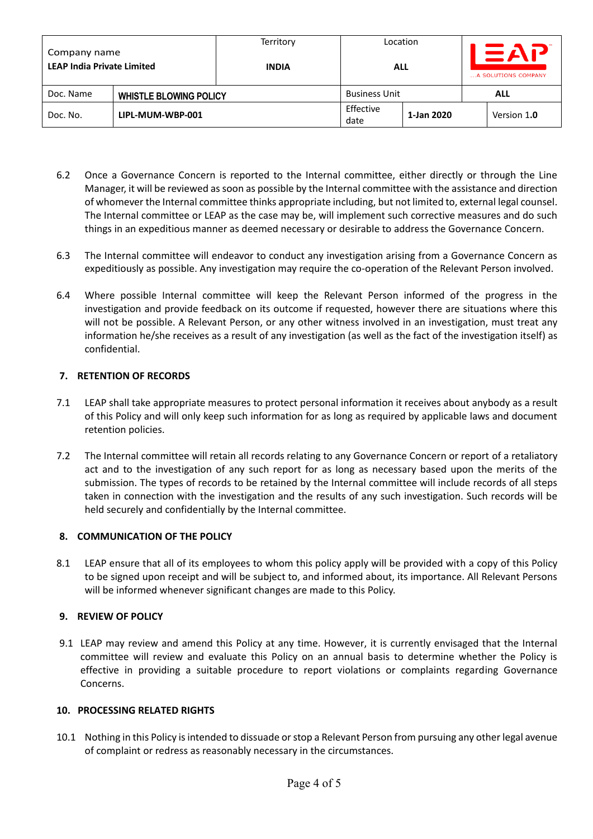| Company name<br><b>LEAP India Private Limited</b> |  | Territory<br><b>INDIA</b> | Location<br><b>ALL</b> |            | $\equiv$ AP<br>A SOLUTIONS COMPANY |             |
|---------------------------------------------------|--|---------------------------|------------------------|------------|------------------------------------|-------------|
| Doc. Name<br><b>WHISTLE BLOWING POLICY</b>        |  |                           | <b>Business Unit</b>   |            |                                    | ALL         |
| LIPL-MUM-WBP-001<br>Doc. No.                      |  |                           | Effective<br>date      | 1-Jan 2020 |                                    | Version 1.0 |

- 6.2 Once a Governance Concern is reported to the Internal committee, either directly or through the Line Manager, it will be reviewed as soon as possible by the Internal committee with the assistance and direction of whomever the Internal committee thinks appropriate including, but not limited to, external legal counsel. The Internal committee or LEAP as the case may be, will implement such corrective measures and do such things in an expeditious manner as deemed necessary or desirable to address the Governance Concern.
- 6.3 The Internal committee will endeavor to conduct any investigation arising from a Governance Concern as expeditiously as possible. Any investigation may require the co-operation of the Relevant Person involved.
- 6.4 Where possible Internal committee will keep the Relevant Person informed of the progress in the investigation and provide feedback on its outcome if requested, however there are situations where this will not be possible. A Relevant Person, or any other witness involved in an investigation, must treat any information he/she receives as a result of any investigation (as well as the fact of the investigation itself) as confidential.

### **7. RETENTION OF RECORDS**

- 7.1 LEAP shall take appropriate measures to protect personal information it receives about anybody as a result of this Policy and will only keep such information for as long as required by applicable laws and document retention policies.
- 7.2 The Internal committee will retain all records relating to any Governance Concern or report of a retaliatory act and to the investigation of any such report for as long as necessary based upon the merits of the submission. The types of records to be retained by the Internal committee will include records of all steps taken in connection with the investigation and the results of any such investigation. Such records will be held securely and confidentially by the Internal committee.

### **8. COMMUNICATION OF THE POLICY**

8.1 LEAP ensure that all of its employees to whom this policy apply will be provided with a copy of this Policy to be signed upon receipt and will be subject to, and informed about, its importance. All Relevant Persons will be informed whenever significant changes are made to this Policy.

### **9. REVIEW OF POLICY**

9.1 LEAP may review and amend this Policy at any time. However, it is currently envisaged that the Internal committee will review and evaluate this Policy on an annual basis to determine whether the Policy is effective in providing a suitable procedure to report violations or complaints regarding Governance Concerns.

### **10. PROCESSING RELATED RIGHTS**

10.1 Nothing in this Policy is intended to dissuade or stop a Relevant Person from pursuing any other legal avenue of complaint or redress as reasonably necessary in the circumstances.